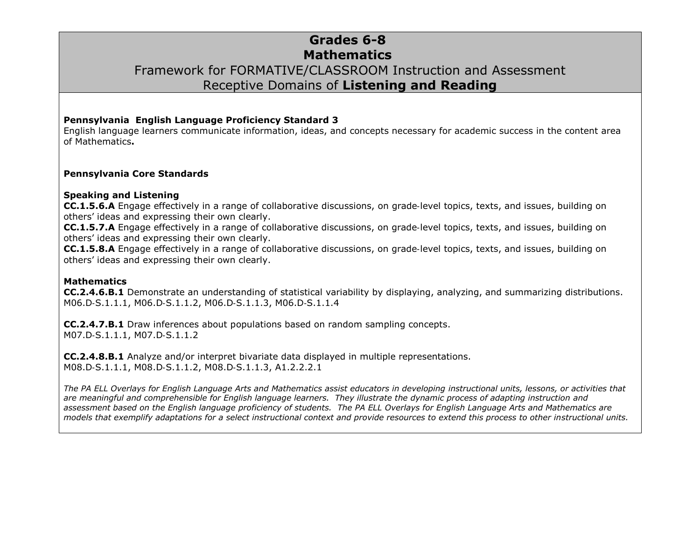# **Grades 6-8 Mathematics** Framework for FORMATIVE/CLASSROOM Instruction and Assessment Receptive Domains of **Listening and Reading**

#### **Pennsylvania English Language Proficiency Standard 3**

English language learners communicate information, ideas, and concepts necessary for academic success in the content area of Mathematics**.**

#### **Pennsylvania Core Standards**

#### **Speaking and Listening**

**CC.1.5.6.A** Engage effectively in a range of collaborative discussions, on grade‐level topics, texts, and issues, building on others' ideas and expressing their own clearly.

**CC.1.5.7.A** Engage effectively in a range of collaborative discussions, on grade‐level topics, texts, and issues, building on others' ideas and expressing their own clearly.

**CC.1.5.8.A** Engage effectively in a range of collaborative discussions, on grade‐level topics, texts, and issues, building on others' ideas and expressing their own clearly.

#### **Mathematics**

**CC.2.4.6.B.1** Demonstrate an understanding of statistical variability by displaying, analyzing, and summarizing distributions. M06.D‐S.1.1.1, M06.D‐S.1.1.2, M06.D‐S.1.1.3, M06.D‐S.1.1.4

**CC.2.4.7.B.1** Draw inferences about populations based on random sampling concepts. M07.D‐S.1.1.1, M07.D‐S.1.1.2

**CC.2.4.8.B.1** Analyze and/or interpret bivariate data displayed in multiple representations. M08.D‐S.1.1.1, M08.D‐S.1.1.2, M08.D‐S.1.1.3, A1.2.2.2.1

*The PA ELL Overlays for English Language Arts and Mathematics assist educators in developing instructional units, lessons, or activities that are meaningful and comprehensible for English language learners. They illustrate the dynamic process of adapting instruction and assessment based on the English language proficiency of students. The PA ELL Overlays for English Language Arts and Mathematics are models that exemplify adaptations for a select instructional context and provide resources to extend this process to other instructional units.*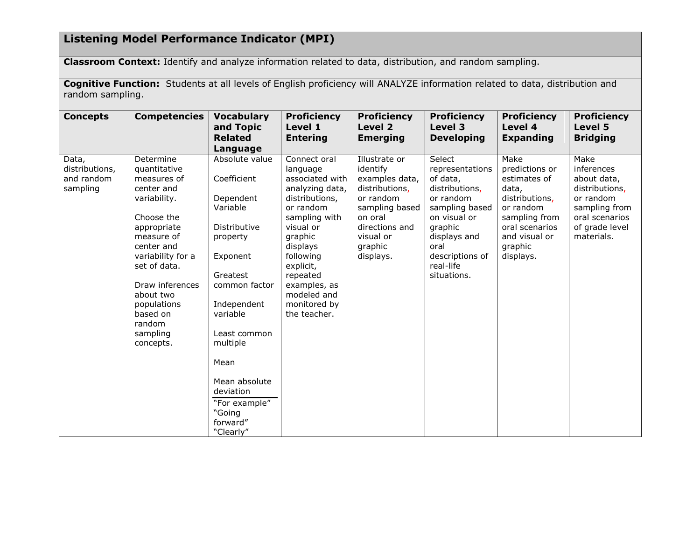## **Listening Model Performance Indicator (MPI)**

**Classroom Context:** Identify and analyze information related to data, distribution, and random sampling.

**Cognitive Function:** Students at all levels of English proficiency will ANALYZE information related to data, distribution and random sampling.

| <b>Concepts</b>                                   | <b>Competencies</b>                                                                                                                                                                                                                                                | <b>Vocabulary</b><br>and Topic<br><b>Related</b><br>Language                                                                                                                                                                                                                 | <b>Proficiency</b><br>Level 1<br><b>Entering</b>                                                                                                                                                                                                        | <b>Proficiency</b><br>Level 2<br><b>Emerging</b>                                                                                                               | <b>Proficiency</b><br>Level 3<br><b>Developing</b>                                                                                                                                       | <b>Proficiency</b><br>Level 4<br><b>Expanding</b>                                                                                                          | <b>Proficiency</b><br>Level 5<br><b>Bridging</b>                                                                                    |
|---------------------------------------------------|--------------------------------------------------------------------------------------------------------------------------------------------------------------------------------------------------------------------------------------------------------------------|------------------------------------------------------------------------------------------------------------------------------------------------------------------------------------------------------------------------------------------------------------------------------|---------------------------------------------------------------------------------------------------------------------------------------------------------------------------------------------------------------------------------------------------------|----------------------------------------------------------------------------------------------------------------------------------------------------------------|------------------------------------------------------------------------------------------------------------------------------------------------------------------------------------------|------------------------------------------------------------------------------------------------------------------------------------------------------------|-------------------------------------------------------------------------------------------------------------------------------------|
| Data,<br>distributions,<br>and random<br>sampling | Determine<br>quantitative<br>measures of<br>center and<br>variability.<br>Choose the<br>appropriate<br>measure of<br>center and<br>variability for a<br>set of data.<br>Draw inferences<br>about two<br>populations<br>based on<br>random<br>sampling<br>concepts. | Absolute value<br>Coefficient<br>Dependent<br>Variable<br>Distributive<br>property<br>Exponent<br>Greatest<br>common factor<br>Independent<br>variable<br>Least common<br>multiple<br>Mean<br>Mean absolute<br>deviation<br>"For example"<br>"Going<br>forward"<br>"Clearly" | Connect oral<br>language<br>associated with<br>analyzing data,<br>distributions,<br>or random<br>sampling with<br>visual or<br>graphic<br>displays<br>following<br>explicit,<br>repeated<br>examples, as<br>modeled and<br>monitored by<br>the teacher. | Illustrate or<br>identify<br>examples data,<br>distributions,<br>or random<br>sampling based<br>on oral<br>directions and<br>visual or<br>graphic<br>displays. | Select<br>representations<br>of data,<br>distributions,<br>or random<br>sampling based<br>on visual or<br>graphic<br>displays and<br>oral<br>descriptions of<br>real-life<br>situations. | Make<br>predictions or<br>estimates of<br>data,<br>distributions,<br>or random<br>sampling from<br>oral scenarios<br>and visual or<br>graphic<br>displays. | Make<br>inferences<br>about data,<br>distributions,<br>or random<br>sampling from<br>oral scenarios<br>of grade level<br>materials. |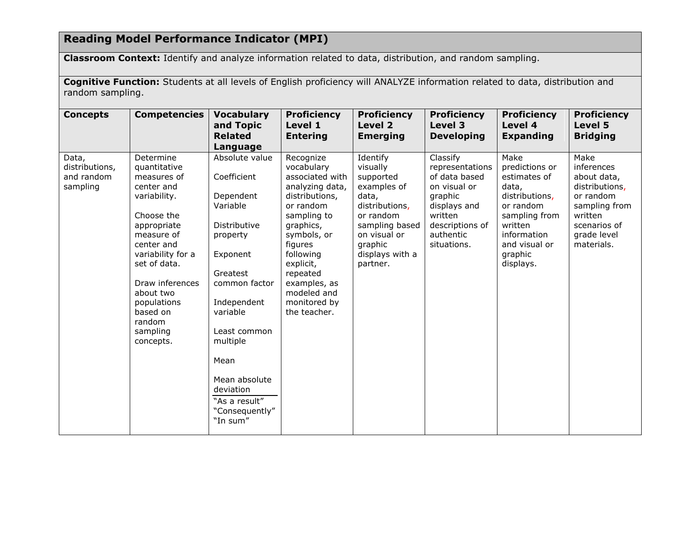## **Reading Model Performance Indicator (MPI)**

**Classroom Context:** Identify and analyze information related to data, distribution, and random sampling.

**Cognitive Function:** Students at all levels of English proficiency will ANALYZE information related to data, distribution and random sampling.

| <b>Concepts</b>                                   | <b>Competencies</b>                                                                                                                                                                                                                                                | <b>Vocabulary</b><br>and Topic<br><b>Related</b><br>Language                                                                                                                                                                                                            | <b>Proficiency</b><br>Level 1<br><b>Entering</b>                                                                                                                                                                                                        | <b>Proficiency</b><br>Level 2<br><b>Emerging</b>                                                                                                                     | <b>Proficiency</b><br>Level 3<br><b>Developing</b>                                                                                                | <b>Proficiency</b><br>Level 4<br><b>Expanding</b>                                                                                                                  | <b>Proficiency</b><br>Level 5<br><b>Bridging</b>                                                                                          |
|---------------------------------------------------|--------------------------------------------------------------------------------------------------------------------------------------------------------------------------------------------------------------------------------------------------------------------|-------------------------------------------------------------------------------------------------------------------------------------------------------------------------------------------------------------------------------------------------------------------------|---------------------------------------------------------------------------------------------------------------------------------------------------------------------------------------------------------------------------------------------------------|----------------------------------------------------------------------------------------------------------------------------------------------------------------------|---------------------------------------------------------------------------------------------------------------------------------------------------|--------------------------------------------------------------------------------------------------------------------------------------------------------------------|-------------------------------------------------------------------------------------------------------------------------------------------|
| Data,<br>distributions,<br>and random<br>sampling | Determine<br>quantitative<br>measures of<br>center and<br>variability.<br>Choose the<br>appropriate<br>measure of<br>center and<br>variability for a<br>set of data.<br>Draw inferences<br>about two<br>populations<br>based on<br>random<br>sampling<br>concepts. | Absolute value<br>Coefficient<br>Dependent<br>Variable<br>Distributive<br>property<br>Exponent<br>Greatest<br>common factor<br>Independent<br>variable<br>Least common<br>multiple<br>Mean<br>Mean absolute<br>deviation<br>"As a result"<br>"Consequently"<br>"In sum" | Recognize<br>vocabulary<br>associated with<br>analyzing data,<br>distributions,<br>or random<br>sampling to<br>graphics,<br>symbols, or<br>figures<br>following<br>explicit,<br>repeated<br>examples, as<br>modeled and<br>monitored by<br>the teacher. | Identify<br>visually<br>supported<br>examples of<br>data,<br>distributions,<br>or random<br>sampling based<br>on visual or<br>graphic<br>displays with a<br>partner. | Classify<br>representations<br>of data based<br>on visual or<br>graphic<br>displays and<br>written<br>descriptions of<br>authentic<br>situations. | Make<br>predictions or<br>estimates of<br>data,<br>distributions,<br>or random<br>sampling from<br>written<br>information<br>and visual or<br>graphic<br>displays. | Make<br>inferences<br>about data,<br>distributions,<br>or random<br>sampling from<br>written<br>scenarios of<br>grade level<br>materials. |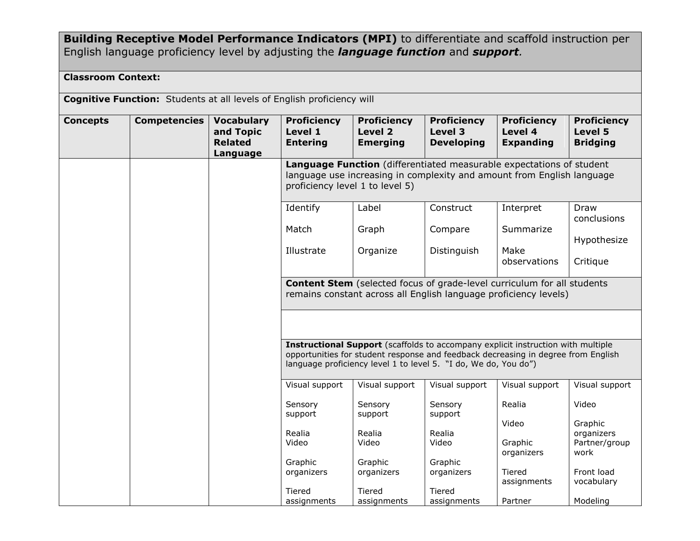### **Building Receptive Model Performance Indicators (MPI)** to differentiate and scaffold instruction per English language proficiency level by adjusting the *language function* and *support.*

### **Classroom Context:**

**Cognitive Function:** Students at all levels of English proficiency will

| Level 3<br>Level 4<br>and Topic<br>Level 1<br>Level 2<br>Level 5<br><b>Bridging</b><br><b>Related</b><br><b>Entering</b><br><b>Emerging</b><br><b>Developing</b><br><b>Expanding</b><br>Language<br>Language Function (differentiated measurable expectations of student<br>language use increasing in complexity and amount from English language<br>proficiency level 1 to level 5)<br>Identify<br>Label<br>Construct<br>Interpret<br>Draw<br>conclusions<br>Match<br>Graph<br>Summarize<br>Compare<br>Hypothesize<br>Illustrate<br>Organize<br>Distinguish<br>Make<br>observations<br>Critique<br><b>Content Stem</b> (selected focus of grade-level curriculum for all students<br>remains constant across all English language proficiency levels)<br><b>Instructional Support</b> (scaffolds to accompany explicit instruction with multiple<br>opportunities for student response and feedback decreasing in degree from English<br>language proficiency level 1 to level 5. "I do, We do, You do")<br>Visual support<br>Visual support<br>Visual support<br>Visual support<br>Visual support<br>Video<br>Sensory<br>Sensory<br>Sensory<br>Realia | <b>Concepts</b> | <b>Competencies</b> | <b>Vocabulary</b> | <b>Proficiency</b> | <b>Proficiency</b> | <b>Proficiency</b> | <b>Proficiency</b> | <b>Proficiency</b> |
|----------------------------------------------------------------------------------------------------------------------------------------------------------------------------------------------------------------------------------------------------------------------------------------------------------------------------------------------------------------------------------------------------------------------------------------------------------------------------------------------------------------------------------------------------------------------------------------------------------------------------------------------------------------------------------------------------------------------------------------------------------------------------------------------------------------------------------------------------------------------------------------------------------------------------------------------------------------------------------------------------------------------------------------------------------------------------------------------------------------------------------------------------------|-----------------|---------------------|-------------------|--------------------|--------------------|--------------------|--------------------|--------------------|
|                                                                                                                                                                                                                                                                                                                                                                                                                                                                                                                                                                                                                                                                                                                                                                                                                                                                                                                                                                                                                                                                                                                                                          |                 |                     |                   |                    |                    |                    |                    |                    |
|                                                                                                                                                                                                                                                                                                                                                                                                                                                                                                                                                                                                                                                                                                                                                                                                                                                                                                                                                                                                                                                                                                                                                          |                 |                     |                   |                    |                    |                    |                    |                    |
|                                                                                                                                                                                                                                                                                                                                                                                                                                                                                                                                                                                                                                                                                                                                                                                                                                                                                                                                                                                                                                                                                                                                                          |                 |                     |                   |                    |                    |                    |                    |                    |
|                                                                                                                                                                                                                                                                                                                                                                                                                                                                                                                                                                                                                                                                                                                                                                                                                                                                                                                                                                                                                                                                                                                                                          |                 |                     |                   |                    |                    |                    |                    |                    |
|                                                                                                                                                                                                                                                                                                                                                                                                                                                                                                                                                                                                                                                                                                                                                                                                                                                                                                                                                                                                                                                                                                                                                          |                 |                     |                   |                    |                    |                    |                    |                    |
|                                                                                                                                                                                                                                                                                                                                                                                                                                                                                                                                                                                                                                                                                                                                                                                                                                                                                                                                                                                                                                                                                                                                                          |                 |                     |                   |                    |                    |                    |                    |                    |
|                                                                                                                                                                                                                                                                                                                                                                                                                                                                                                                                                                                                                                                                                                                                                                                                                                                                                                                                                                                                                                                                                                                                                          |                 |                     |                   |                    |                    |                    |                    |                    |
|                                                                                                                                                                                                                                                                                                                                                                                                                                                                                                                                                                                                                                                                                                                                                                                                                                                                                                                                                                                                                                                                                                                                                          |                 |                     |                   |                    |                    |                    |                    |                    |
|                                                                                                                                                                                                                                                                                                                                                                                                                                                                                                                                                                                                                                                                                                                                                                                                                                                                                                                                                                                                                                                                                                                                                          |                 |                     |                   |                    |                    |                    |                    |                    |
|                                                                                                                                                                                                                                                                                                                                                                                                                                                                                                                                                                                                                                                                                                                                                                                                                                                                                                                                                                                                                                                                                                                                                          |                 |                     |                   | support            | support            | support            |                    |                    |
| Video<br>Graphic<br>Realia<br>Realia<br>Realia<br>organizers                                                                                                                                                                                                                                                                                                                                                                                                                                                                                                                                                                                                                                                                                                                                                                                                                                                                                                                                                                                                                                                                                             |                 |                     |                   |                    |                    |                    |                    |                    |
| Partner/group<br>Video<br>Video<br>Video<br>Graphic<br>organizers<br>work                                                                                                                                                                                                                                                                                                                                                                                                                                                                                                                                                                                                                                                                                                                                                                                                                                                                                                                                                                                                                                                                                |                 |                     |                   |                    |                    |                    |                    |                    |
| Graphic<br>Graphic<br>Graphic<br>Front load<br>organizers<br>Tiered<br>organizers<br>organizers<br>vocabulary<br>assignments                                                                                                                                                                                                                                                                                                                                                                                                                                                                                                                                                                                                                                                                                                                                                                                                                                                                                                                                                                                                                             |                 |                     |                   |                    |                    |                    |                    |                    |
| <b>Tiered</b><br>Tiered<br>Tiered<br>Modeling<br>assignments<br>assignments<br>assignments<br>Partner                                                                                                                                                                                                                                                                                                                                                                                                                                                                                                                                                                                                                                                                                                                                                                                                                                                                                                                                                                                                                                                    |                 |                     |                   |                    |                    |                    |                    |                    |